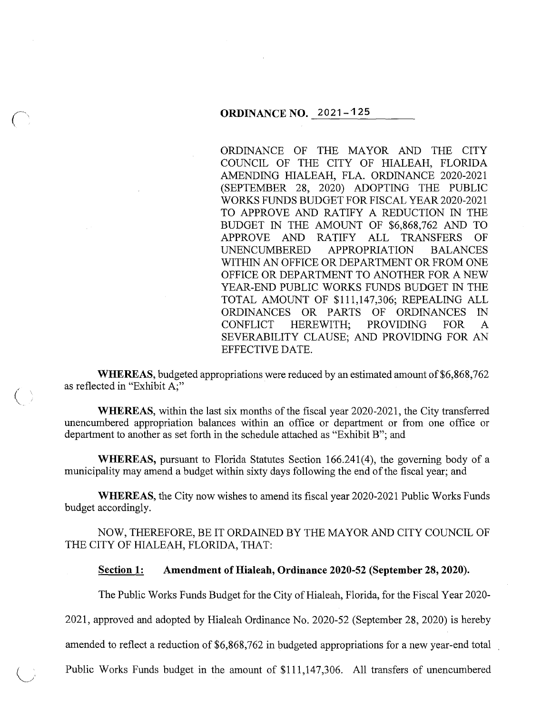ORDINANCE OF THE MAYOR AND THE CITY COUNCIL OF THE CITY OF HIALEAH, FLORIDA AMENDING HIALEAH, FLA. ORDINANCE 2020-2021 (SEPTEMBER 28, 2020) ADOPTING THE PUBLIC WORKS FUNDS BUDGET FOR FISCAL YEAR 2020-2021 TO APPROVE AND RATIFY A REDUCTION IN THE BUDGET IN THE AMOUNT OF \$6,868,762 AND TO APPROVE AND RATIFY ALL TRANSFERS OF UNENCUMBERED APPROPRIATION BALANCES WITHIN AN OFFICE OR DEPARTMENT OR FROM ONE OFFICE OR DEPARTMENT TO ANOTHER FOR A NEW YEAR-END PUBLIC WORKS FUNDS BUDGET IN THE TOTAL AMOUNT OF \$111,147,306; REPEALING ALL ORDINANCES OR PARTS OF ORDINANCES IN CONFLICT HEREWITH; PROVIDING FOR A SEVERABILITY CLAUSE; AND PROVIDING FOR AN EFFECTIVE DATE.

**WHEREAS,** budgeted appropriations were reduced by an estimated amount of \$6,868,762 as reflected in "Exhibit A;"

 $\big($ 

**WHEREAS,** within the last six months of the fiscal year 2020-2021, the City transferred unencumbered appropriation balances within an office or department or from one office or department to another as set forth in the schedule attached as "Exhibit B"; and

**WHEREAS,** pursuant to Florida Statutes Section 166.241(4), the governing body of a municipality may amend a budget within sixty days following the end of the fiscal year; and

**WHEREAS,** the City now wishes to amend its fiscal year 2020-2021 Public Works Funds budget accordingly.

NOW, THEREFORE, BE IT ORDAINED BY THE MAYOR AND CITY COUNCIL OF THE CITY OF HIALEAH, FLORIDA, THAT:

#### **Section 1: Amendment of Hialeah, Ordinance 2020-52 (September 28, 2020).**

The Public Works Funds Budget for the City of Hialeah, Florida, for the Fiscal Year 2020-

2021, approved and adopted by Hialeah Ordinance No. 2020-52 (September 28, 2020) is hereby

amended to reflect a reduction of \$6,868,762 in budgeted appropriations for a new year-end total

\\_j Public Works Funds budget in the amount of \$111,147,306. All transfers of unencumbered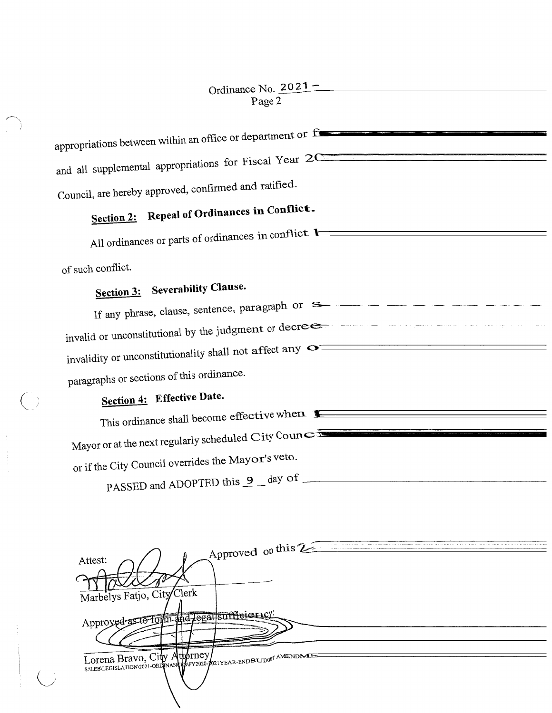$\sim$ 

 $\Big($ 

| appropriations between within an office or department or f                                                                                                                                                                                                                                                                                                                            |
|---------------------------------------------------------------------------------------------------------------------------------------------------------------------------------------------------------------------------------------------------------------------------------------------------------------------------------------------------------------------------------------|
| and all supplemental appropriations for Fiscal Year 2Communications of the contract of the state of the contract of the contract of the contract of the contract of the contract of the contract of the contract of the contra                                                                                                                                                        |
|                                                                                                                                                                                                                                                                                                                                                                                       |
| Council, are hereby approved, confirmed and ratified.                                                                                                                                                                                                                                                                                                                                 |
| Section 2: Repeal of Ordinances in Conflict.                                                                                                                                                                                                                                                                                                                                          |
| All ordinances or parts of ordinances in conflict 1                                                                                                                                                                                                                                                                                                                                   |
| of such conflict.                                                                                                                                                                                                                                                                                                                                                                     |
| Section 3: Severability Clause.                                                                                                                                                                                                                                                                                                                                                       |
| If any phrase, clause, sentence, paragraph or $S_{\text{max}} = \frac{1}{1 - \frac{1}{1 - \frac{1}{1 - \frac{1}{1 - \frac{1}{1 - \frac{1}{1 - \frac{1}{1 - \frac{1}{1 - \frac{1}{1 - \frac{1}{1 - \frac{1}{1 - \frac{1}{1 - \frac{1}{1 - \frac{1}{1 - \frac{1}{1 - \frac{1}{1 - \frac{1}{1 - \frac{1}{1 - \frac{1}{1 - \frac{1}{1 - \frac{1}{1 - \frac{1}{1 - \frac{1}{1 - \frac{1}{$ |
| invalid or unconstitutional by the judgment or decree and the state of the state of the state of the state of                                                                                                                                                                                                                                                                         |
| invalidity or unconstitutionality shall not affect any $\bullet$                                                                                                                                                                                                                                                                                                                      |
| paragraphs or sections of this ordinance.                                                                                                                                                                                                                                                                                                                                             |
| Section 4: Effective Date.                                                                                                                                                                                                                                                                                                                                                            |
| This ordinance shall become effective when <b>E</b>                                                                                                                                                                                                                                                                                                                                   |
| Mayor or at the next regularly scheduled City Council                                                                                                                                                                                                                                                                                                                                 |
| or if the City Council overrides the Mayor's veto.                                                                                                                                                                                                                                                                                                                                    |
| PASSED and ADOPTED this 9 day of                                                                                                                                                                                                                                                                                                                                                      |

|                                   | Approved on this 2 |  |
|-----------------------------------|--------------------|--|
| Attest:                           |                    |  |
| Marbelys Fatjo, City Clerk        |                    |  |
| Approved as to form and legal sui |                    |  |
|                                   |                    |  |
| Lorena Bravo, City Attorney       |                    |  |
|                                   |                    |  |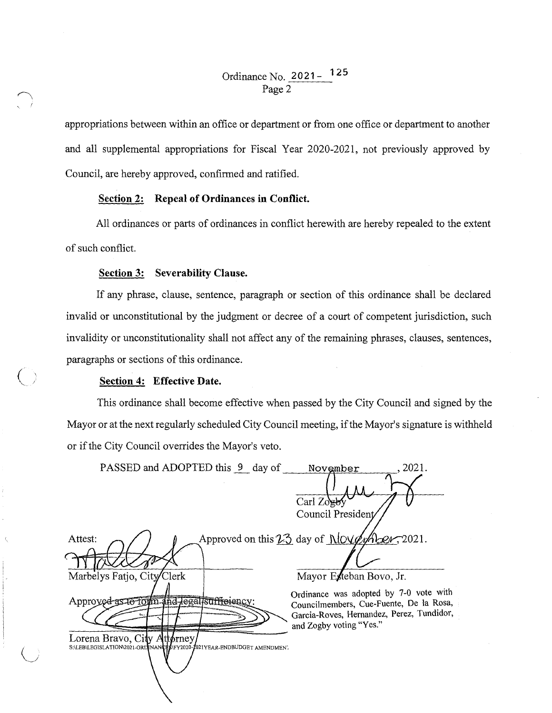appropriations between within an office or department or from one office or department to another and all supplemental appropriations for Fiscal Year 2020-2021, not previously approved by Council, are hereby approved, confirmed and ratified.

### **Section 2: Repeal of Ordinances in Conflict.**

All ordinances or parts of ordinances in conflict herewith are hereby repealed to the extent of such conflict.

#### **Section 3: Severability Clause.**

If any phrase, clause, sentence, paragraph or section of this ordinance shall be declared invalid or unconstitutional by the judgment or decree of a court of competent jurisdiction, such invalidity or unconstitutionality shall not affect any of the remaining phrases, clauses, sentences, paragraphs or sections of this ordinance.

#### **Section 4: Effective Date.**

 $(\; \; )$ 

( . *.\_\_\_\_j* 

This ordinance shall become effective when passed by the City Council and signed by the Mayor or at the next regularly scheduled City Council meeting, if the Mayor's signature is withheld or if the City Council overrides the Mayor's veto.

| PASSED and ADOPTED this 9 day of                                                                                                                                                           | 2021.<br>November<br>$Carl Zo$ gb<br>Council President                                                                                                                                                                               |
|--------------------------------------------------------------------------------------------------------------------------------------------------------------------------------------------|--------------------------------------------------------------------------------------------------------------------------------------------------------------------------------------------------------------------------------------|
| Attest:<br>Marbelys Fatio, City/Clerk<br>Approved as to form and legal sufficienc.<br>Lorena Bravo, City Attorney<br>S:\LEB\LEGISLATION\2021-ORDINANCES\FY2020-2021YEAR-ENDBUDGET AMENDMEN | Approved on this $23$ day of $MOWW$ $2021$ .<br>Mayor Exteban Bovo, Jr.<br>Ordinance was adopted by 7-0 vote with<br>Councilmembers, Cue-Fuente, De la Rosa,<br>Garcia-Roves, Hernandez, Perez, Tundidor,<br>and Zogby voting "Yes." |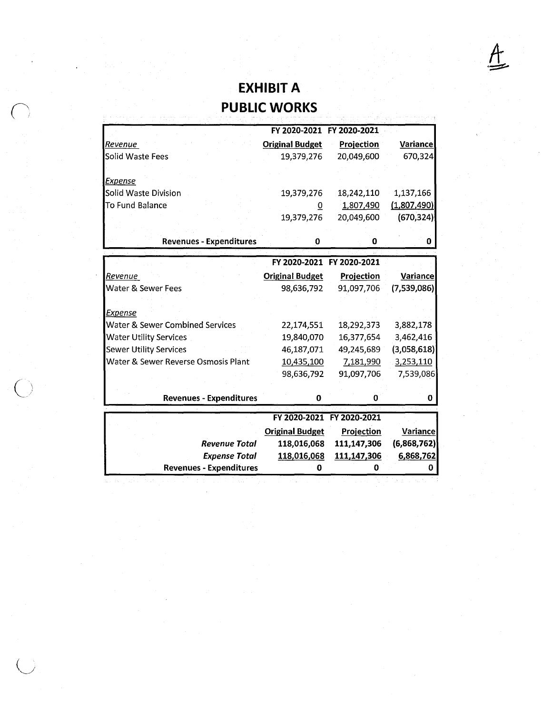## **EXHIBIT A PUBLIC WORKS**

 $\underline{A}$ 

|                                            | FY 2020-2021 FY 2020-2021             |                           |                 |
|--------------------------------------------|---------------------------------------|---------------------------|-----------------|
| Revenue                                    | <b>Original Budget</b>                | Projection                | <b>Variance</b> |
| Solid Waste Fees                           | 19,379,276                            | 20,049,600                | 670,324         |
|                                            |                                       |                           |                 |
| <b>Expense</b>                             |                                       |                           |                 |
| Solid Waste Division                       | 19,379,276                            | 18,242,110                | 1,137,166       |
| To Fund Balance                            | 0                                     | 1,807,490                 | (1,807,490)     |
|                                            | 19,379,276                            | 20,049,600                | (670, 324)      |
|                                            |                                       |                           |                 |
| <b>Revenues - Expenditures</b>             | 0                                     | 0                         | 0               |
|                                            |                                       | FY 2020-2021 FY 2020-2021 |                 |
|                                            |                                       |                           |                 |
| Revenue                                    | <b>Original Budget</b>                | Projection                | Variance        |
| Water & Sewer Fees                         | 98,636,792                            | 91,097,706                | (7,539,086)     |
|                                            |                                       |                           |                 |
| <b>Expense</b>                             |                                       |                           |                 |
| <b>Water &amp; Sewer Combined Services</b> | 22,174,551                            | 18,292,373                | 3,882,178       |
| <b>Water Utility Services</b>              | 19,840,070                            | 16,377,654                | 3,462,416       |
| <b>Sewer Utility Services</b>              | 46,187,071                            | 49,245,689                | (3,058,618)     |
| Water & Sewer Reverse Osmosis Plant        | 10,435,100                            | 7,181,990                 | 3,253,110       |
|                                            | 98,636,792                            | 91,097,706                | 7,539,086       |
|                                            |                                       |                           |                 |
| <b>Revenues - Expenditures</b>             | 0                                     | 0                         | 0               |
|                                            |                                       | FY 2020-2021 FY 2020-2021 |                 |
|                                            |                                       |                           |                 |
| <b>Revenue Total</b>                       | <b>Original Budget</b><br>118,016,068 | Projection<br>111,147,306 | <b>Variance</b> |
|                                            |                                       |                           | (6,868,762)     |
| <b>Expense Total</b>                       | 118,016,068<br>Ω                      | 111,147,306               | 6,868,762<br>Ω  |
| <b>Revenues - Expenditures</b>             |                                       |                           |                 |

 $\bigcap$ 

 $\bigcup$